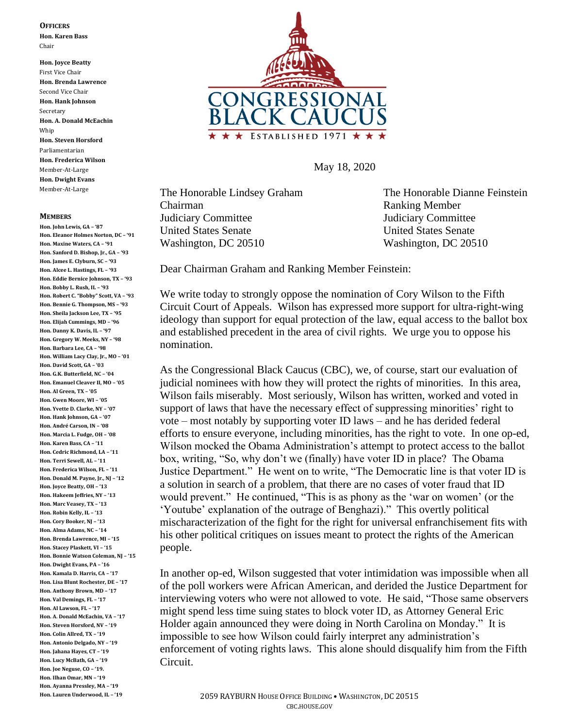## **OFFICERS**

**Hon. Karen Bass** Chair

**Hon. Joyce Beatty** First Vice Chair **Hon. Brenda Lawrence** Second Vice Chair **Hon. Hank Johnson** Secretary **Hon. A. Donald McEachin** Whip **Hon. Steven Horsford** Parliamentarian **Hon. Frederica Wilson** Member-At-Large **Hon. Dwight Evans** Member-At-Large

## **MEMBERS**

**Hon. John Lewis, GA – '87 Hon. Eleanor Holmes Norton, DC – '91 Hon. Maxine Waters, CA – '91 Hon. Sanford D. Bishop, Jr., GA – '93 Hon. James E. Clyburn, SC – '93 Hon. Alcee L. Hastings, FL – '93 Hon. Eddie Bernice Johnson, TX – '93 Hon. Bobby L. Rush, IL – '93 Hon. Robert C. "Bobby" Scott, VA – '93 Hon. Bennie G. Thompson, MS – '93 Hon. Sheila Jackson Lee, TX – '95 Hon. Elijah Cummings, MD – '96 Hon. Danny K. Davis, IL – '97 Hon. Gregory W. Meeks, NY – '98 Hon. Barbara Lee, CA – '98 Hon. William Lacy Clay, Jr., MO – '01 Hon. David Scott, GA – '03 Hon. G.K. Butterfield, NC – '04 Hon. Emanuel Cleaver II, MO – '05 Hon. Al Green, TX – '05 Hon. Gwen Moore, WI – '05 Hon. Yvette D. Clarke, NY – '07 Hon. Hank Johnson, GA – '07 Hon. André Carson, IN – '08 Hon. Marcia L. Fudge, OH – '08 Hon. Karen Bass, CA – '11 Hon. Cedric Richmond, LA – '11 Hon. Terri Sewell, AL – '11 Hon. Frederica Wilson, FL – '11 Hon. Donald M. Payne, Jr., NJ – '12 Hon. Joyce Beatty, OH – '13 Hon. Hakeem Jeffries, NY – '13 Hon. Marc Veasey, TX – '13 Hon. Robin Kelly, IL – '13 Hon. Cory Booker, NJ – '13 Hon. Alma Adams, NC – '14 Hon. Brenda Lawrence, MI – '15 Hon. Stacey Plaskett, VI – '15 Hon. Bonnie Watson Coleman, NJ – '15 Hon. Dwight Evans, PA – '16 Hon. Kamala D. Harris, CA – '17 Hon. Lisa Blunt Rochester, DE – '17 Hon. Anthony Brown, MD – '17 Hon. Val Demings, FL – '17 Hon. Al Lawson, FL – '17 Hon. A. Donald McEachin, VA – '17 Hon. Steven Horsford, NV – '19 Hon. Colin Allred, TX – '19 Hon. Antonio Delgado, NY – '19 Hon. Jahana Hayes, CT – '19 Hon. Lucy McBath, GA – '19 Hon. Joe Neguse, CO – '19. Hon. Ilhan Omar, MN – '19 Hon. Ayanna Pressley, MA – '19 Hon. Lauren Underwood, IL – '19**



May 18, 2020

The Honorable Lindsey Graham The Honorable Dianne Feinstein Chairman Ranking Member Judiciary Committee Judiciary Committee United States Senate United States Senate Washington, DC 20510 Washington, DC 20510

Dear Chairman Graham and Ranking Member Feinstein:

We write today to strongly oppose the nomination of Cory Wilson to the Fifth Circuit Court of Appeals. Wilson has expressed more support for ultra-right-wing ideology than support for equal protection of the law, equal access to the ballot box and established precedent in the area of civil rights. We urge you to oppose his nomination.

As the Congressional Black Caucus (CBC), we, of course, start our evaluation of judicial nominees with how they will protect the rights of minorities. In this area, Wilson fails miserably. Most seriously, Wilson has written, worked and voted in support of laws that have the necessary effect of suppressing minorities' right to vote – most notably by supporting voter ID laws – and he has derided federal efforts to ensure everyone, including minorities, has the right to vote. In one op-ed, Wilson mocked the Obama Administration's attempt to protect access to the ballot box, writing, "So, why don't we (finally) have voter ID in place? The Obama Justice Department." He went on to write, "The Democratic line is that voter ID is a solution in search of a problem, that there are no cases of voter fraud that ID would prevent." He continued, "This is as phony as the 'war on women' (or the 'Youtube' explanation of the outrage of Benghazi)." This overtly political mischaracterization of the fight for the right for universal enfranchisement fits with his other political critiques on issues meant to protect the rights of the American people.

In another op-ed, Wilson suggested that voter intimidation was impossible when all of the poll workers were African American, and derided the Justice Department for interviewing voters who were not allowed to vote. He said, "Those same observers might spend less time suing states to block voter ID, as Attorney General Eric Holder again announced they were doing in North Carolina on Monday." It is impossible to see how Wilson could fairly interpret any administration's enforcement of voting rights laws. This alone should disqualify him from the Fifth Circuit.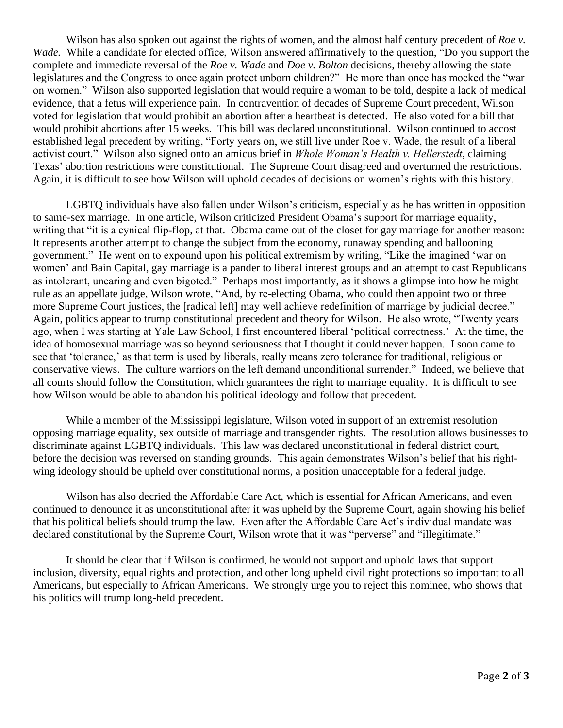Wilson has also spoken out against the rights of women, and the almost half century precedent of *Roe v*. *Wade.* While a candidate for elected office, Wilson answered affirmatively to the question, "Do you support the complete and immediate reversal of the *Roe v. Wade* and *Doe v. Bolton* decisions, thereby allowing the state legislatures and the Congress to once again protect unborn children?" He more than once has mocked the "war on women." Wilson also supported legislation that would require a woman to be told, despite a lack of medical evidence, that a fetus will experience pain. In contravention of decades of Supreme Court precedent, Wilson voted for legislation that would prohibit an abortion after a heartbeat is detected. He also voted for a bill that would prohibit abortions after 15 weeks. This bill was declared unconstitutional. Wilson continued to accost established legal precedent by writing, "Forty years on, we still live under Roe v. Wade, the result of a liberal activist court." Wilson also signed onto an amicus brief in *Whole Woman's Health v. Hellerstedt*, claiming Texas' abortion restrictions were constitutional. The Supreme Court disagreed and overturned the restrictions. Again, it is difficult to see how Wilson will uphold decades of decisions on women's rights with this history.

LGBTQ individuals have also fallen under Wilson's criticism, especially as he has written in opposition to same-sex marriage. In one article, Wilson criticized President Obama's support for marriage equality, writing that "it is a cynical flip-flop, at that. Obama came out of the closet for gay marriage for another reason: It represents another attempt to change the subject from the economy, runaway spending and ballooning government." He went on to expound upon his political extremism by writing, "Like the imagined 'war on women' and Bain Capital, gay marriage is a pander to liberal interest groups and an attempt to cast Republicans as intolerant, uncaring and even bigoted." Perhaps most importantly, as it shows a glimpse into how he might rule as an appellate judge, Wilson wrote, "And, by re-electing Obama, who could then appoint two or three more Supreme Court justices, the [radical left] may well achieve redefinition of marriage by judicial decree." Again, politics appear to trump constitutional precedent and theory for Wilson. He also wrote, "Twenty years ago, when I was starting at Yale Law School, I first encountered liberal 'political correctness.' At the time, the idea of homosexual marriage was so beyond seriousness that I thought it could never happen. I soon came to see that 'tolerance,' as that term is used by liberals, really means zero tolerance for traditional, religious or conservative views. The culture warriors on the left demand unconditional surrender." Indeed, we believe that all courts should follow the Constitution, which guarantees the right to marriage equality. It is difficult to see how Wilson would be able to abandon his political ideology and follow that precedent.

While a member of the Mississippi legislature, Wilson voted in support of an extremist resolution opposing marriage equality, sex outside of marriage and transgender rights. The resolution allows businesses to discriminate against LGBTQ individuals. This law was declared unconstitutional in federal district court, before the decision was reversed on standing grounds. This again demonstrates Wilson's belief that his rightwing ideology should be upheld over constitutional norms, a position unacceptable for a federal judge.

Wilson has also decried the Affordable Care Act, which is essential for African Americans, and even continued to denounce it as unconstitutional after it was upheld by the Supreme Court, again showing his belief that his political beliefs should trump the law. Even after the Affordable Care Act's individual mandate was declared constitutional by the Supreme Court, Wilson wrote that it was "perverse" and "illegitimate."

It should be clear that if Wilson is confirmed, he would not support and uphold laws that support inclusion, diversity, equal rights and protection, and other long upheld civil right protections so important to all Americans, but especially to African Americans. We strongly urge you to reject this nominee, who shows that his politics will trump long-held precedent.